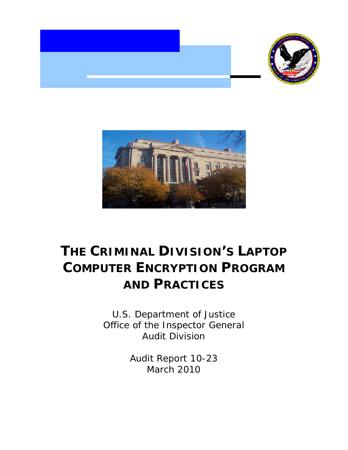



# **THE CRIMINAL DIVISION'S LAPTOP COMPUTER ENCRYPTION PROGRAM AND PRACTICES**

 Office of the Inspector General U.S. Department of Justice Audit Division

> Audit Report 10-23 March 2010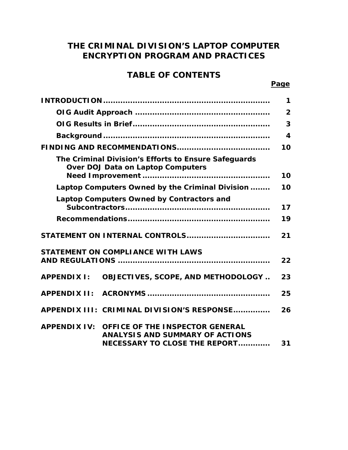# **THE CRIMINAL DIVISION'S LAPTOP COMPUTER ENCRYPTION PROGRAM AND PRACTICES**

# **TABLE OF CONTENTS**

#### **Page**

|                                                                                                                         | 1                       |
|-------------------------------------------------------------------------------------------------------------------------|-------------------------|
|                                                                                                                         | $\overline{2}$          |
|                                                                                                                         | 3                       |
|                                                                                                                         | $\overline{\mathbf{4}}$ |
|                                                                                                                         | 10                      |
| The Criminal Division's Efforts to Ensure Safeguards<br><b>Over DOJ Data on Laptop Computers</b>                        | 10                      |
|                                                                                                                         | 10                      |
| Laptop Computers Owned by the Criminal Division                                                                         |                         |
| Laptop Computers Owned by Contractors and                                                                               | 17                      |
|                                                                                                                         | 19                      |
| STATEMENT ON INTERNAL CONTROLS                                                                                          | 21                      |
| <b>STATEMENT ON COMPLIANCE WITH LAWS</b>                                                                                |                         |
|                                                                                                                         | 22                      |
| <b>APPENDIX I:</b><br><b>OBJECTIVES, SCOPE, AND METHODOLOGY</b>                                                         | 23                      |
|                                                                                                                         | 25                      |
| APPENDIX III: CRIMINAL DIVISION'S RESPONSE                                                                              | 26                      |
| APPENDIX IV: OFFICE OF THE INSPECTOR GENERAL<br><b>ANALYSIS AND SUMMARY OF ACTIONS</b><br>NECESSARY TO CLOSE THE REPORT | 31                      |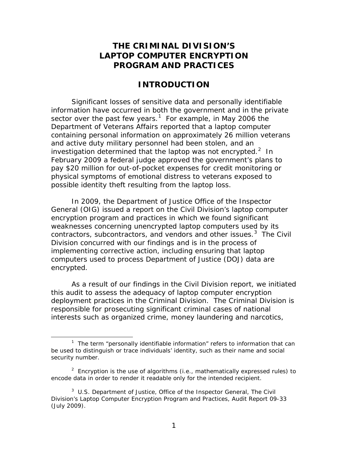# <span id="page-2-0"></span>**THE CRIMINAL DIVISION'S LAPTOP COMPUTER ENCRYPTION PROGRAM AND PRACTICES**

# **INTRODUCTION**

 Significant losses of sensitive data and personally identifiable sector over the past few years.<sup>1</sup> For example, in May 2006 the investigation determined that the laptop was not encrypted. $2$  In February 2009 a federal judge approved the government's plans to information have occurred in both the government and in the private Department of Veterans Affairs reported that a laptop computer containing personal information on approximately 26 million veterans and active duty military personnel had been stolen, and an pay \$20 million for out-of-pocket expenses for credit monitoring or physical symptoms of emotional distress to veterans exposed to possible identity theft resulting from the laptop loss.

 weaknesses concerning unencrypted laptop computers used by its contractors, subcontractors, and vendors and other issues.<sup>[3](#page-2-3)</sup> The Civil Division concurred with our findings and is in the process of implementing corrective action, including ensuring that laptop In 2009, the Department of Justice Office of the Inspector General (OIG) issued a report on the Civil Division's laptop computer encryption program and practices in which we found significant computers used to process Department of Justice (DOJ) data are encrypted.

 deployment practices in the Criminal Division. The Criminal Division is As a result of our findings in the Civil Division report, we initiated this audit to assess the adequacy of laptop computer encryption responsible for prosecuting significant criminal cases of national interests such as organized crime, money laundering and narcotics,

 $\overline{a}$ 

<span id="page-2-1"></span><sup>&</sup>lt;sup>1</sup> The term "personally identifiable information" refers to information that can be used to distinguish or trace individuals' identity, such as their name and social security number.

<span id="page-2-2"></span><sup>&</sup>lt;sup>2</sup> Encryption is the use of algorithms (i.e., mathematically expressed rules) to encode data in order to render it readable only for the intended recipient.

<span id="page-2-3"></span> 3 U.S. Department of Justice, Office of the Inspector General, *The Civil Division's Laptop Computer Encryption Program and Practices*, Audit Report 09-33 (July 2009).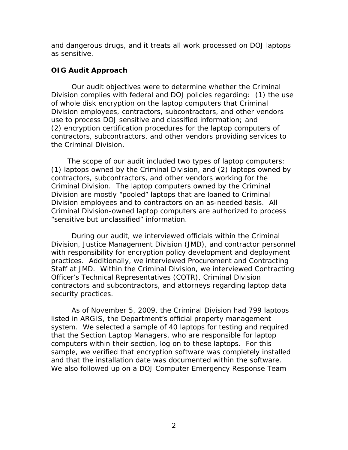<span id="page-3-0"></span> as sensitive. and dangerous drugs, and it treats all work processed on DOJ laptops

### **OIG Audit Approach**

 Division complies with federal and DOJ policies regarding: (1) the use use to process DOJ sensitive and classified information; and Our audit objectives were to determine whether the Criminal of whole disk encryption on the laptop computers that Criminal Division employees, contractors, subcontractors, and other vendors (2) encryption certification procedures for the laptop computers of contractors, subcontractors, and other vendors providing services to the Criminal Division.

The scope of our audit included two types of laptop computers: The scope of our audit included two types of laptop computers: (1) laptops owned by the Criminal Division, and (2) laptops owned by Criminal Division. The laptop computers owned by the Criminal contractors, subcontractors, and other vendors working for the Division are mostly "pooled" laptops that are loaned to Criminal Division employees and to contractors on an as-needed basis. All Criminal Division-owned laptop computers are authorized to process "sensitive but unclassified" information.

 During our audit, we interviewed officials within the Criminal Officer's Technical Representatives (COTR), Criminal Division Division, Justice Management Division (JMD), and contractor personnel with responsibility for encryption policy development and deployment practices. Additionally, we interviewed Procurement and Contracting Staff at JMD. Within the Criminal Division, we interviewed Contracting contractors and subcontractors, and attorneys regarding laptop data security practices.

 system. We selected a sample of 40 laptops for testing and required computers within their section, log on to these laptops. For this sample, we verified that encryption software was completely installed and that the installation date was documented within the software. As of November 5, 2009, the Criminal Division had 799 laptops listed in ARGIS, the Department's official property management that the Section Laptop Managers, who are responsible for laptop We also followed up on a DOJ Computer Emergency Response Team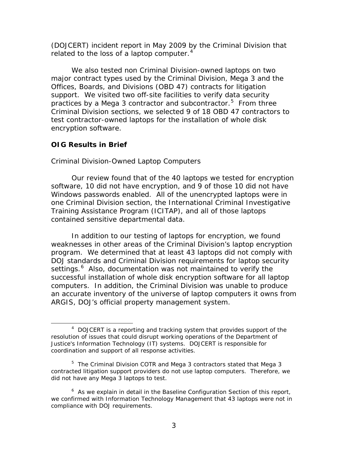<span id="page-4-0"></span>(DOJCERT) incident report in May 2009 by the Criminal Division that related to the loss of a laptop computer. $4$ 

 major contract types used by the Criminal Division, Mega 3 and the Offices, Boards, and Divisions (OBD 47) contracts for litigation support. We visited two off-site facilities to verify data security practices by a Mega 3 contractor and subcontractor.<sup>[5](#page-4-2)</sup> From three Criminal Division sections, we selected 9 of 18 OBD 47 contractors to We also tested non Criminal Division-owned laptops on two test contractor-owned laptops for the installation of whole disk encryption software.

### **OIG Results in Brief**

 $\overline{a}$ 

### *Criminal Division-Owned Laptop Computers*

 Windows passwords enabled. All of the unencrypted laptops were in contained sensitive departmental data. Our review found that of the 40 laptops we tested for encryption software, 10 did not have encryption, and 9 of those 10 did not have one Criminal Division section, the International Criminal Investigative Training Assistance Program (ICITAP), and all of those laptops

settings.<sup>6</sup> Also, documentation was not maintained to verify the computers. In addition, the Criminal Division was unable to produce In addition to our testing of laptops for encryption, we found weaknesses in other areas of the Criminal Division's laptop encryption program. We determined that at least 43 laptops did not comply with DOJ standards and Criminal Division requirements for laptop security successful installation of whole disk encryption software for all laptop an accurate inventory of the universe of laptop computers it owns from ARGIS, DOJ's official property management system.

<span id="page-4-1"></span> $4$  DOJCERT is a reporting and tracking system that provides support of the resolution of issues that could disrupt working operations of the Department of Justice's Information Technology (IT) systems. DOJCERT is responsible for coordination and support of all response activities.

<span id="page-4-2"></span> $5$  The Criminal Division COTR and Mega 3 contractors stated that Mega 3 contracted litigation support providers do not use laptop computers. Therefore, we did not have any Mega 3 laptops to test.

<span id="page-4-3"></span> $6$  As we explain in detail in the Baseline Configuration Section of this report, we confirmed with Information Technology Management that 43 laptops were not in compliance with DOJ requirements.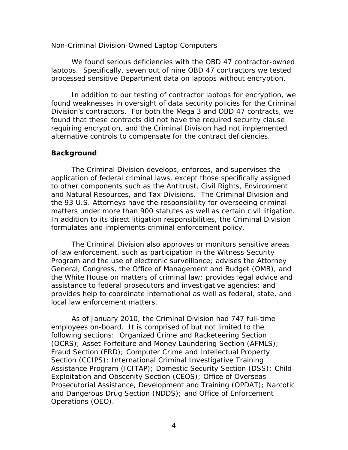#### <span id="page-5-0"></span>*Non-Criminal Division-Owned Laptop Computers*

We found serious deficiencies with the OBD 47 contractor-owned laptops. Specifically, seven out of nine OBD 47 contractors we tested processed sensitive Department data on laptops without encryption.

In addition to our testing of contractor laptops for encryption, we found weaknesses in oversight of data security policies for the Criminal Division's contractors. For both the Mega 3 and OBD 47 contracts, we found that these contracts did not have the required security clause requiring encryption, and the Criminal Division had not implemented alternative controls to compensate for the contract deficiencies.

### **Background**

The Criminal Division develops, enforces, and supervises the application of federal criminal laws, except those specifically assigned to other components such as the Antitrust, Civil Rights, Environment and Natural Resources, and Tax Divisions. The Criminal Division and the 93 U.S. Attorneys have the responsibility for overseeing criminal matters under more than 900 statutes as well as certain civil litigation. In addition to its direct litigation responsibilities, the Criminal Division formulates and implements criminal enforcement policy.

 provides help to coordinate international as well as federal, state, and The Criminal Division also approves or monitors sensitive areas of law enforcement, such as participation in the Witness Security Program and the use of electronic surveillance; advises the Attorney General, Congress, the Office of Management and Budget (OMB), and the White House on matters of criminal law; provides legal advice and assistance to federal prosecutors and investigative agencies; and local law enforcement matters.

 As of January 2010, the Criminal Division had 747 full-time employees on-board. It is comprised of but not limited to the following sections: Organized Crime and Racketeering Section Operations (OEO). (OCRS); Asset Forfeiture and Money Laundering Section (AFMLS); Fraud Section (FRD); Computer Crime and Intellectual Property Section (CCIPS); International Criminal Investigative Training Assistance Program (ICITAP); Domestic Security Section (DSS); Child Exploitation and Obscenity Section (CEOS); Office of Overseas Prosecutorial Assistance, Development and Training (OPDAT); Narcotic and Dangerous Drug Section (NDDS); and Office of Enforcement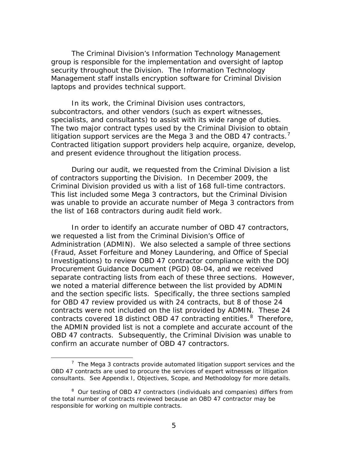The Criminal Division's Information Technology Management group is responsible for the implementation and oversight of laptop security throughout the Division. The Information Technology Management staff installs encryption software for Criminal Division laptops and provides technical support.

 subcontractors, and other vendors (such as expert witnesses, The two major contract types used by the Criminal Division to obtain litigation support services are the Mega 3 and the OBD 4[7](#page-6-0) contracts.<sup>7</sup> and present evidence throughout the litigation process. In its work, the Criminal Division uses contractors, specialists, and consultants) to assist with its wide range of duties. Contracted litigation support providers help acquire, organize, develop,

During our audit, we requested from the Criminal Division a list of contractors supporting the Division. In December 2009, the Criminal Division provided us with a list of 168 full-time contractors. This list included some Mega 3 contractors, but the Criminal Division was unable to provide an accurate number of Mega 3 contractors from the list of 168 contractors during audit field work.

 (Fraud, Asset Forfeiture and Money Laundering, and Office of Special Procurement Guidance Document (PGD) 08-04, and we received contracts were not included on the list provided by ADMIN. These 24 contracts covered 18 distinct OBD 47 contracting entities. <sup>8</sup> Therefore, OBD 47 contracts. Subsequently, the Criminal Division was unable to In order to identify an accurate number of OBD 47 contractors, we requested a list from the Criminal Division's Office of Administration (ADMIN). We also selected a sample of three sections Investigations) to review OBD 47 contractor compliance with the DOJ separate contracting lists from each of these three sections. However, we noted a material difference between the list provided by ADMIN and the section specific lists. Specifically, the three sections sampled for OBD 47 review provided us with 24 contracts, but 8 of those 24 the ADMIN provided list is not a complete and accurate account of the confirm an accurate number of OBD 47 contractors.

<u>.</u>

<span id="page-6-0"></span> $7$  The Mega 3 contracts provide automated litigation support services and the OBD 47 contracts are used to procure the services of expert witnesses or litigation consultants. See Appendix I, Objectives, Scope, and Methodology for more details.

<span id="page-6-1"></span> $8$  Our testing of OBD 47 contractors (individuals and companies) differs from the total number of contracts reviewed because an OBD 47 contractor may be responsible for working on multiple contracts.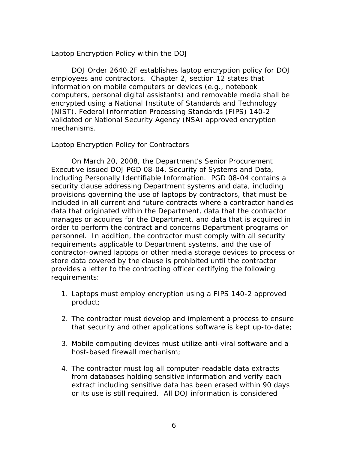### *Laptop Encryption Policy within the DOJ*

 (NIST), Federal Information Processing Standards (FIPS) 140-2 DOJ Order 2640.2F establishes laptop encryption policy for DOJ employees and contractors. Chapter 2, section 12 states that information on mobile computers or devices (e.g., notebook computers, personal digital assistants) and removable media shall be encrypted using a National Institute of Standards and Technology validated or National Security Agency (NSA) approved encryption mechanisms.

### *Laptop Encryption Policy for Contractors*

 security clause addressing Department systems and data, including On March 20, 2008, the Department's Senior Procurement Executive issued DOJ PGD 08-04, Security of Systems and Data, Including Personally Identifiable Information. PGD 08-04 contains a provisions governing the use of laptops by contractors, that must be included in all current and future contracts where a contractor handles data that originated within the Department, data that the contractor manages or acquires for the Department, and data that is acquired in order to perform the contract and concerns Department programs or personnel. In addition, the contractor must comply with all security requirements applicable to Department systems, and the use of contractor-owned laptops or other media storage devices to process or store data covered by the clause is prohibited until the contractor provides a letter to the contracting officer certifying the following requirements:

- 1. Laptops must employ encryption using a FIPS 140-2 approved product;
- 2. The contractor must develop and implement a process to ensure that security and other applications software is kept up-to-date;
- 3. Mobile computing devices must utilize anti-viral software and a host-based firewall mechanism;
- or its use is still required. All DOJ information is considered 4. The contractor must log all computer-readable data extracts from databases holding sensitive information and verify each extract including sensitive data has been erased within 90 days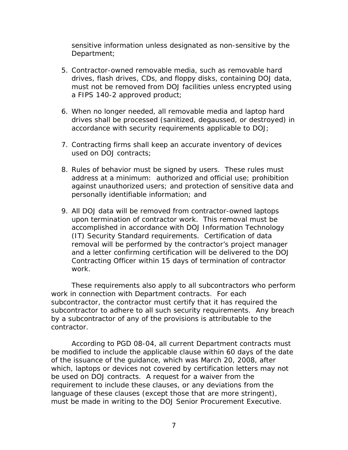sensitive information unless designated as non-sensitive by the Department;

- 5. Contractor-owned removable media, such as removable hard drives, flash drives, CDs, and floppy disks, containing DOJ data, must not be removed from DOJ facilities unless encrypted using a FIPS 140-2 approved product;
- 6. When no longer needed, all removable media and laptop hard drives shall be processed (sanitized, degaussed, or destroyed) in accordance with security requirements applicable to DOJ;
- 7. Contracting firms shall keep an accurate inventory of devices used on DOJ contracts;
- address at a minimum: authorized and official use; prohibition personally identifiable information; and 8. Rules of behavior must be signed by users. These rules must against unauthorized users; and protection of sensitive data and
- upon termination of contractor work. This removal must be 9. All DOJ data will be removed from contractor-owned laptops accomplished in accordance with DOJ Information Technology (IT) Security Standard requirements. Certification of data removal will be performed by the contractor's project manager and a letter confirming certification will be delivered to the DOJ Contracting Officer within 15 days of termination of contractor work.

 These requirements also apply to all subcontractors who perform work in connection with Department contracts. For each subcontractor, the contractor must certify that it has required the subcontractor to adhere to all such security requirements. Any breach by a subcontractor of any of the provisions is attributable to the contractor.

 must be made in writing to the DOJ Senior Procurement Executive. According to PGD 08-04, all current Department contracts must be modified to include the applicable clause within 60 days of the date of the issuance of the guidance, which was March 20, 2008, after which, laptops or devices not covered by certification letters may not be used on DOJ contracts. A request for a waiver from the requirement to include these clauses, or any deviations from the language of these clauses (except those that are more stringent),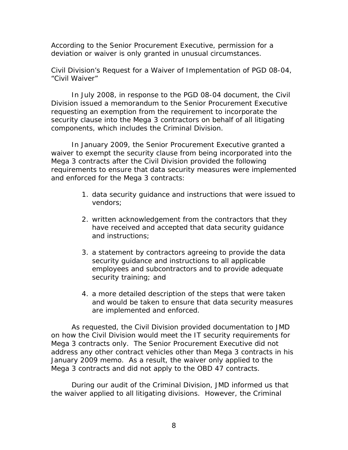According to the Senior Procurement Executive, permission for a deviation or waiver is only granted in unusual circumstances.

### *Civil Division's Request for a Waiver of Implementation of PGD 08-04, "Civil Waiver"*

In July 2008, in response to the PGD 08-04 document, the Civil Division issued a memorandum to the Senior Procurement Executive requesting an exemption from the requirement to incorporate the security clause into the Mega 3 contractors on behalf of all litigating components, which includes the Criminal Division.

In January 2009, the Senior Procurement Executive granted a waiver to exempt the security clause from being incorporated into the Mega 3 contracts after the Civil Division provided the following requirements to ensure that data security measures were implemented and enforced for the Mega 3 contracts:

- 1. data security guidance and instructions that were issued to vendors;
- 2. written acknowledgement from the contractors that they have received and accepted that data security guidance and instructions;
- 3. a statement by contractors agreeing to provide the data security guidance and instructions to all applicable employees and subcontractors and to provide adequate security training; and
- and would be taken to ensure that data security measures 4. a more detailed description of the steps that were taken are implemented and enforced.

 As requested, the Civil Division provided documentation to JMD January 2009 memo. As a result, the waiver only applied to the Mega 3 contracts and did not apply to the OBD 47 contracts. on how the Civil Division would meet the IT security requirements for Mega 3 contracts only. The Senior Procurement Executive did not address any other contract vehicles other than Mega 3 contracts in his

 During our audit of the Criminal Division, JMD informed us that the waiver applied to all litigating divisions. However, the Criminal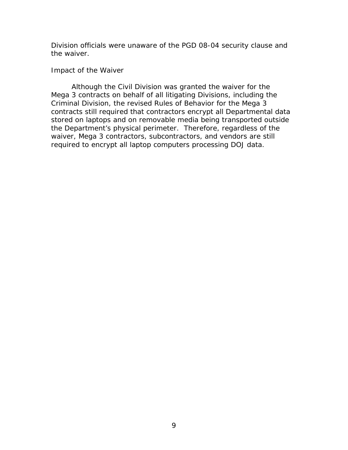Division officials were unaware of the PGD 08-04 security clause and the waiver.

#### *Impact of the Waiver*

 Although the Civil Division was granted the waiver for the the Department's physical perimeter. Therefore, regardless of the required to encrypt all laptop computers processing DOJ data. Mega 3 contracts on behalf of all litigating Divisions, including the Criminal Division, the revised Rules of Behavior for the Mega 3 contracts still required that contractors encrypt all Departmental data stored on laptops and on removable media being transported outside waiver, Mega 3 contractors, subcontractors, and vendors are still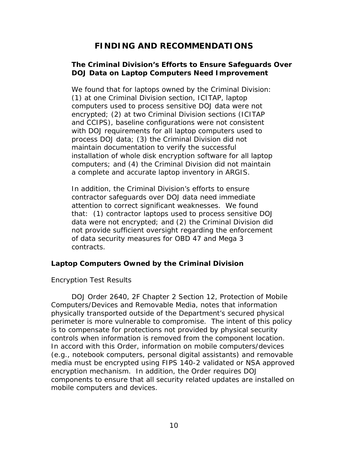# **FINDING AND RECOMMENDATIONS**

### <span id="page-11-0"></span> **The Criminal Division's Efforts to Ensure Safeguards Over DOJ Data on Laptop Computers Need Improvement**

We found that for laptops owned by the Criminal Division: computers used to process sensitive DOJ data were not (1) at one Criminal Division section, ICITAP, laptop encrypted; (2) at two Criminal Division sections (ICITAP and CCIPS), baseline configurations were not consistent with DOJ requirements for all laptop computers used to process DOJ data; (3) the Criminal Division did not maintain documentation to verify the successful installation of whole disk encryption software for all laptop computers; and (4) the Criminal Division did not maintain a complete and accurate laptop inventory in ARGIS.

In addition, the Criminal Division's efforts to ensure contractor safeguards over DOJ data need immediate attention to correct significant weaknesses. We found that: (1) contractor laptops used to process sensitive DOJ data were not encrypted; and (2) the Criminal Division did not provide sufficient oversight regarding the enforcement of data security measures for OBD 47 and Mega 3 contracts.

### **Laptop Computers Owned by the Criminal Division**

### *Encryption Test Results*

 perimeter is more vulnerable to compromise. The intent of this policy encryption mechanism. In addition, the Order requires DOJ DOJ Order 2640, 2F Chapter 2 Section 12, Protection of Mobile Computers/Devices and Removable Media, notes that information physically transported outside of the Department's secured physical is to compensate for protections not provided by physical security controls when information is removed from the component location. In accord with this Order, information on mobile computers/devices (e.g., notebook computers, personal digital assistants) and removable media must be encrypted using FIPS 140-2 validated or NSA approved components to ensure that all security related updates are installed on mobile computers and devices.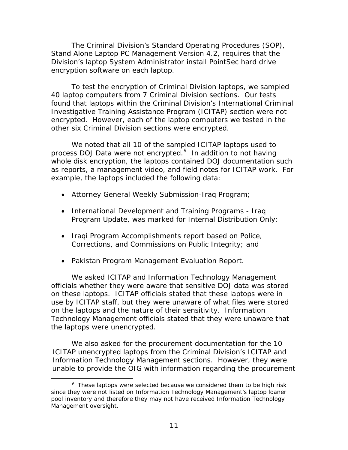The Criminal Division's Standard Operating Procedures (SOP), Stand Alone Laptop PC Management Version 4.2, requires that the Division's laptop System Administrator install PointSec hard drive encryption software on each laptop.

 encrypted. However, each of the laptop computers we tested in the To test the encryption of Criminal Division laptops, we sampled 40 laptop computers from 7 Criminal Division sections. Our tests found that laptops within the Criminal Division's International Criminal Investigative Training Assistance Program (ICITAP) section were not other six Criminal Division sections were encrypted.

 We noted that all 10 of the sampled ICITAP laptops used to process DOJ Data were not encrypted.<sup>[9](#page-12-0)</sup> In addition to not having as reports, a management video, and field notes for ICITAP work. For example, the laptops included the following data: whole disk encryption, the laptops contained DOJ documentation such

- Attorney General Weekly Submission-Iraq Program;
- International Development and Training Programs Iraq Program Update, was marked for Internal Distribution Only;
- Corrections, and Commissions on Public Integrity; and • Iraqi Program Accomplishments report based on Police,
- Pakistan Program Management Evaluation Report.

 on these laptops. ICITAP officials stated that these laptops were in on the laptops and the nature of their sensitivity. Information We asked ICITAP and Information Technology Management officials whether they were aware that sensitive DOJ data was stored use by ICITAP staff, but they were unaware of what files were stored Technology Management officials stated that they were unaware that the laptops were unencrypted.

 We also asked for the procurement documentation for the 10 ICITAP unencrypted laptops from the Criminal Division's ICITAP and Information Technology Management sections. However, they were unable to provide the OIG with information regarding the procurement

 $\overline{a}$ 

<span id="page-12-0"></span> $9$  These laptops were selected because we considered them to be high risk since they were not listed on Information Technology Management's laptop loaner pool inventory and therefore they may not have received Information Technology Management oversight.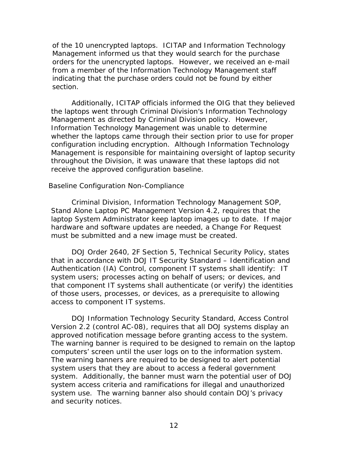of the 10 unencrypted laptops. ICITAP and Information Technology Management informed us that they would search for the purchase orders for the unencrypted laptops. However, we received an e-mail from a member of the Information Technology Management staff indicating that the purchase orders could not be found by either section.

 configuration including encryption. Although Information Technology Additionally, ICITAP officials informed the OIG that they believed the laptops went through Criminal Division's Information Technology Management as directed by Criminal Division policy. However, Information Technology Management was unable to determine whether the laptops came through their section prior to use for proper Management is responsible for maintaining oversight of laptop security throughout the Division, it was unaware that these laptops did not receive the approved configuration baseline.

#### *Baseline Configuration Non-Compliance*

 laptop System Administrator keep laptop images up to date. If major Criminal Division, Information Technology Management SOP, Stand Alone Laptop PC Management Version 4.2, requires that the hardware and software updates are needed, a Change For Request must be submitted and a new image must be created.

 that in accordance with DOJ IT Security Standard – Identification and Authentication (IA) Control, component IT systems shall identify: IT DOJ Order 2640, 2F Section 5, Technical Security Policy, states system users; processes acting on behalf of users; or devices, and that component IT systems shall authenticate (or verify) the identities of those users, processes, or devices, as a prerequisite to allowing access to component IT systems.

 DOJ Information Technology Security Standard, Access Control approved notification message before granting access to the system. Version 2.2 (control AC-08), requires that all DOJ systems display an The warning banner is required to be designed to remain on the laptop. computers' screen until the user logs on to the information system. The warning banners are required to be designed to alert potential system users that they are about to access a federal government system. Additionally, the banner must warn the potential user of DOJ system access criteria and ramifications for illegal and unauthorized system use. The warning banner also should contain DOJ's privacy and security notices.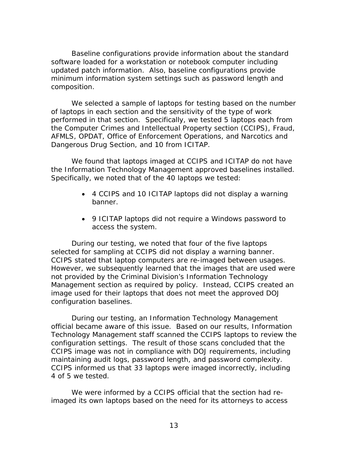updated patch information. Also, baseline configurations provide Baseline configurations provide information about the standard software loaded for a workstation or notebook computer including minimum information system settings such as password length and composition.

 performed in that section. Specifically, we tested 5 laptops each from We selected a sample of laptops for testing based on the number of laptops in each section and the sensitivity of the type of work the Computer Crimes and Intellectual Property section (CCIPS), Fraud, AFMLS, OPDAT, Office of Enforcement Operations, and Narcotics and Dangerous Drug Section, and 10 from ICITAP.

 We found that laptops imaged at CCIPS and ICITAP do not have the Information Technology Management approved baselines installed. Specifically, we noted that of the 40 laptops we tested:

- 4 CCIPS and 10 ICITAP laptops did not display a warning banner.
- 9 ICITAP laptops did not require a Windows password to access the system.

 During our testing, we noted that four of the five laptops selected for sampling at CCIPS did not display a warning banner. Management section as required by policy. Instead, CCIPS created an CCIPS stated that laptop computers are re-imaged between usages. However, we subsequently learned that the images that are used were not provided by the Criminal Division's Information Technology image used for their laptops that does not meet the approved DOJ configuration baselines.

During our testing, an Information Technology Management official became aware of this issue. Based on our results, Information Technology Management staff scanned the CCIPS laptops to review the configuration settings. The result of those scans concluded that the CCIPS image was not in compliance with DOJ requirements, including maintaining audit logs, password length, and password complexity. CCIPS informed us that 33 laptops were imaged incorrectly, including 4 of 5 we tested.

We were informed by a CCIPS official that the section had reimaged its own laptops based on the need for its attorneys to access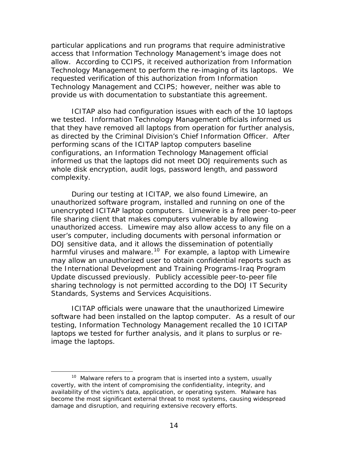particular applications and run programs that require administrative access that Information Technology Management's image does not allow. According to CCIPS, it received authorization from Information Technology Management to perform the re-imaging of its laptops. We requested verification of this authorization from Information Technology Management and CCIPS; however, neither was able to provide us with documentation to substantiate this agreement.

 ICITAP also had configuration issues with each of the 10 laptops informed us that the laptops did not meet DOJ requirements such as we tested. Information Technology Management officials informed us that they have removed all laptops from operation for further analysis, as directed by the Criminal Division's Chief Information Officer. After performing scans of the ICITAP laptop computers baseline configurations, an Information Technology Management official whole disk encryption, audit logs, password length, and password complexity.

harmful viruses and malware.<sup>[10](#page-15-0)</sup> For example, a laptop with Limewire Update discussed previously. Publicly accessible peer-to-peer file During our testing at ICITAP, we also found Limewire, an unauthorized software program, installed and running on one of the unencrypted ICITAP laptop computers. Limewire is a free peer-to-peer file sharing client that makes computers vulnerable by allowing unauthorized access. Limewire may also allow access to any file on a user's computer, including documents with personal information or DOJ sensitive data, and it allows the dissemination of potentially may allow an unauthorized user to obtain confidential reports such as the International Development and Training Programs-Iraq Program sharing technology is not permitted according to the DOJ IT Security Standards, Systems and Services Acquisitions.

 software had been installed on the laptop computer. As a result of our testing, Information Technology Management recalled the 10 ICITAP ICITAP officials were unaware that the unauthorized Limewire laptops we tested for further analysis, and it plans to surplus or reimage the laptops.

<u>.</u>

<span id="page-15-0"></span> $10$  Malware refers to a program that is inserted into a system, usually covertly, with the intent of compromising the confidentiality, integrity, and availability of the victim's data, application, or operating system. Malware has become the most significant external threat to most systems, causing widespread damage and disruption, and requiring extensive recovery efforts.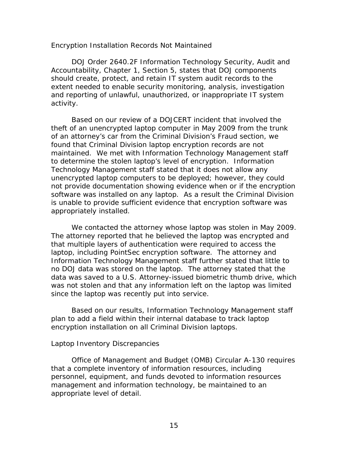#### *Encryption Installation Records Not Maintained*

DOJ Order 2640.2F Information Technology Security, Audit and Accountability, Chapter 1, Section 5, states that DOJ components should create, protect, and retain IT system audit records to the extent needed to enable security monitoring, analysis, investigation and reporting of unlawful, unauthorized, or inappropriate IT system activity.

 unencrypted laptop computers to be deployed; however, they could appropriately installed. Based on our review of a DOJCERT incident that involved the theft of an unencrypted laptop computer in May 2009 from the trunk of an attorney's car from the Criminal Division's Fraud section, we found that Criminal Division laptop encryption records are not maintained. We met with Information Technology Management staff to determine the stolen laptop's level of encryption. Information Technology Management staff stated that it does not allow any not provide documentation showing evidence when or if the encryption software was installed on any laptop. As a result the Criminal Division is unable to provide sufficient evidence that encryption software was

 laptop, including PointSec encryption software. The attorney and was not stolen and that any information left on the laptop was limited We contacted the attorney whose laptop was stolen in May 2009. The attorney reported that he believed the laptop was encrypted and that multiple layers of authentication were required to access the Information Technology Management staff further stated that little to no DOJ data was stored on the laptop. The attorney stated that the data was saved to a U.S. Attorney-issued biometric thumb drive, which since the laptop was recently put into service.

Based on our results, Information Technology Management staff plan to add a field within their internal database to track laptop encryption installation on all Criminal Division laptops.

### *Laptop Inventory Discrepancies*

 Office of Management and Budget (OMB) Circular A-130 requires that a complete inventory of information resources, including personnel, equipment, and funds devoted to information resources management and information technology, be maintained to an appropriate level of detail.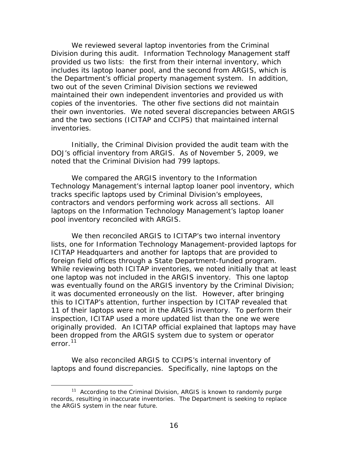Division during this audit. Information Technology Management staff provided us two lists: the first from their internal inventory, which two out of the seven Criminal Division sections we reviewed copies of the inventories. The other five sections did not maintain their own inventories. We noted several discrepancies between ARGIS and the two sections (ICITAP and CCIPS) that maintained internal We reviewed several laptop inventories from the Criminal includes its laptop loaner pool, and the second from ARGIS, which is the Department's official property management system. In addition, maintained their own independent inventories and provided us with inventories.

 DOJ's official inventory from ARGIS. As of November 5, 2009, we Initially, the Criminal Division provided the audit team with the noted that the Criminal Division had 799 laptops.

 We compared the ARGIS inventory to the Information Technology Management's internal laptop loaner pool inventory, which tracks specific laptops used by Criminal Division's employees, contractors and vendors performing work across all sections. All laptops on the Information Technology Management's laptop loaner pool inventory reconciled with ARGIS.

foreign field offices through a State Department-funded program. one laptop was not included in the ARGIS inventory. This one laptop it was documented erroneously on the list. However, after bringing 11 of their laptops were not in the ARGIS inventory. To perform their We then reconciled ARGIS to ICITAP's two internal inventory lists, one for Information Technology Management-provided laptops for ICITAP Headquarters and another for laptops that are provided to While reviewing both ICITAP inventories, we noted initially that at least was eventually found on the ARGIS inventory by the Criminal Division; this to ICITAP's attention, further inspection by ICITAP revealed that inspection, ICITAP used a more updated list than the one we were originally provided. An ICITAP official explained that laptops may have been dropped from the ARGIS system due to system or operator  $error<sup>11</sup>$  $error<sup>11</sup>$  $error<sup>11</sup>$ 

 laptops and found discrepancies. Specifically, nine laptops on the We also reconciled ARGIS to CCIPS's internal inventory of

 $\overline{a}$ 

<span id="page-17-0"></span> $11$  According to the Criminal Division, ARGIS is known to randomly purge records, resulting in inaccurate inventories. The Department is seeking to replace the ARGIS system in the near future.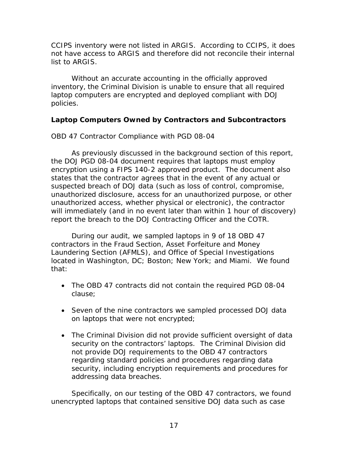<span id="page-18-0"></span> CCIPS inventory were not listed in ARGIS. According to CCIPS, it does not have access to ARGIS and therefore did not reconcile their internal list to ARGIS.

Without an accurate accounting in the officially approved inventory, the Criminal Division is unable to ensure that all required laptop computers are encrypted and deployed compliant with DOJ policies.

# **Laptop Computers Owned by Contractors and Subcontractors**

### *OBD 47 Contractor Compliance with PGD 08-04*

 the DOJ PGD 08-04 document requires that laptops must employ will immediately (and in no event later than within 1 hour of discovery) As previously discussed in the background section of this report, encryption using a FIPS 140-2 approved product. The document also states that the contractor agrees that in the event of any actual or suspected breach of DOJ data (such as loss of control, compromise, unauthorized disclosure, access for an unauthorized purpose, or other unauthorized access, whether physical or electronic), the contractor report the breach to the DOJ Contracting Officer and the COTR.

 During our audit, we sampled laptops in 9 of 18 OBD 47 contractors in the Fraud Section, Asset Forfeiture and Money located in Washington, DC; Boston; New York; and Miami. We found Laundering Section (AFMLS), and Office of Special Investigations that:

- The OBD 47 contracts did not contain the required PGD 08-04 clause;
- Seven of the nine contractors we sampled processed DOJ data on laptops that were not encrypted;
- The Criminal Division did not provide sufficient oversight of data not provide DOJ requirements to the OBD 47 contractors security on the contractors' laptops. The Criminal Division did regarding standard policies and procedures regarding data security, including encryption requirements and procedures for addressing data breaches.

Specifically, on our testing of the OBD 47 contractors, we found unencrypted laptops that contained sensitive DOJ data such as case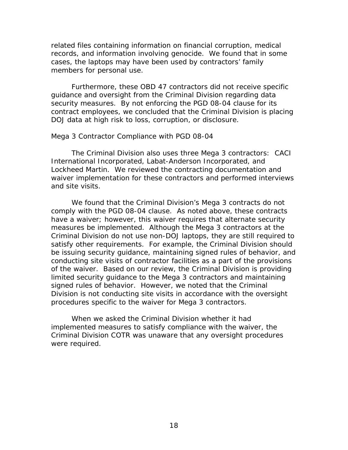records, and information involving genocide. We found that in some related files containing information on financial corruption, medical cases, the laptops may have been used by contractors' family members for personal use.

 security measures. By not enforcing the PGD 08-04 clause for its DOJ data at high risk to loss, corruption, or disclosure. Furthermore, these OBD 47 contractors did not receive specific guidance and oversight from the Criminal Division regarding data contract employees, we concluded that the Criminal Division is placing

#### *Mega 3 Contractor Compliance with PGD 08-04*

 The Criminal Division also uses three Mega 3 contractors: CACI Lockheed Martin. We reviewed the contracting documentation and International Incorporated, Labat-Anderson Incorporated, and waiver implementation for these contractors and performed interviews and site visits.

 We found that the Criminal Division's Mega 3 contracts do not comply with the PGD 08-04 clause. As noted above, these contracts measures be implemented. Although the Mega 3 contractors at the of the waiver. Based on our review, the Criminal Division is providing procedures specific to the waiver for Mega 3 contractors. have a waiver; however, this waiver requires that alternate security Criminal Division do not use non-DOJ laptops, they are still required to satisfy other requirements. For example, the Criminal Division should be issuing security guidance, maintaining signed rules of behavior, and conducting site visits of contractor facilities as a part of the provisions limited security guidance to the Mega 3 contractors and maintaining signed rules of behavior. However, we noted that the Criminal Division is not conducting site visits in accordance with the oversight

 implemented measures to satisfy compliance with the waiver, the When we asked the Criminal Division whether it had Criminal Division COTR was unaware that any oversight procedures were required.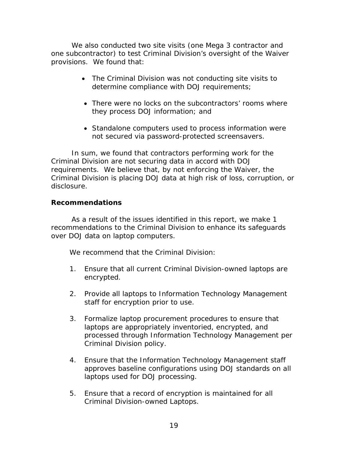<span id="page-20-0"></span> We also conducted two site visits (one Mega 3 contractor and one subcontractor) to test Criminal Division's oversight of the Waiver provisions. We found that:

- The Criminal Division was not conducting site visits to determine compliance with DOJ requirements;
- There were no locks on the subcontractors' rooms where they process DOJ information; and
- Standalone computers used to process information were not secured via password-protected screensavers.

 In sum, we found that contractors performing work for the Criminal Division are not securing data in accord with DOJ requirements. We believe that, by not enforcing the Waiver, the Criminal Division is placing DOJ data at high risk of loss, corruption, or disclosure.

### **Recommendations**

 As a result of the issues identified in this report, we make 1 recommendations to the Criminal Division to enhance its safeguards over DOJ data on laptop computers.

We recommend that the Criminal Division:

- 1. Ensure that all current Criminal Division-owned laptops are encrypted.
- 2. Provide all laptops to Information Technology Management staff for encryption prior to use.
- 3. Formalize laptop procurement procedures to ensure that laptops are appropriately inventoried, encrypted, and processed through Information Technology Management per Criminal Division policy.
- 4. Ensure that the Information Technology Management staff approves baseline configurations using DOJ standards on all laptops used for DOJ processing.
- Criminal Division-owned Laptops. 5. Ensure that a record of encryption is maintained for all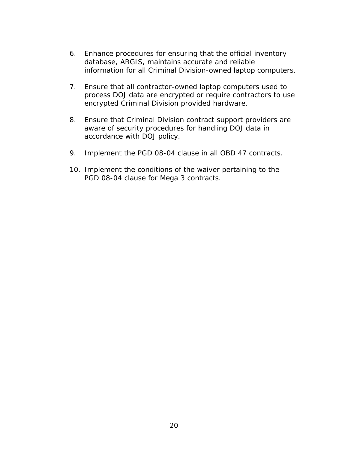- 6. Enhance procedures for ensuring that the official inventory database, ARGIS, maintains accurate and reliable information for all Criminal Division-owned laptop computers.
- encrypted Criminal Division provided hardware. 7. Ensure that all contractor-owned laptop computers used to process DOJ data are encrypted or require contractors to use
- 8. Ensure that Criminal Division contract support providers are aware of security procedures for handling DOJ data in accordance with DOJ policy.
- 9. Implement the PGD 08-04 clause in all OBD 47 contracts.
- 10. Implement the conditions of the waiver pertaining to the PGD 08-04 clause for Mega 3 contracts.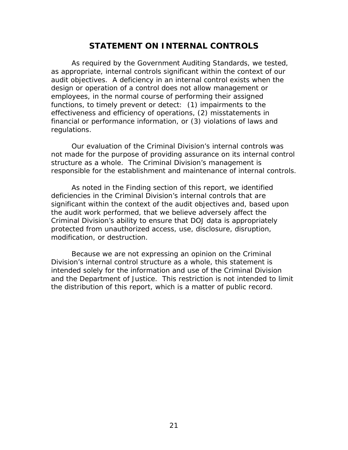# **STATEMENT ON INTERNAL CONTROLS**

<span id="page-22-0"></span> As required by the *Government Auditing Standards,* we tested, functions, to timely prevent or detect: (1) impairments to the as appropriate, internal controls significant within the context of our audit objectives. A deficiency in an internal control exists when the design or operation of a control does not allow management or employees, in the normal course of performing their assigned effectiveness and efficiency of operations, (2) misstatements in financial or performance information, or (3) violations of laws and regulations.

 Our evaluation of the Criminal Division's internal controls was not made for the purpose of providing assurance on its internal control structure as a whole. The Criminal Division's management is responsible for the establishment and maintenance of internal controls.

As noted in the Finding section of this report, we identified deficiencies in the Criminal Division's internal controls that are significant within the context of the audit objectives and, based upon the audit work performed, that we believe adversely affect the Criminal Division's ability to ensure that DOJ data is appropriately protected from unauthorized access, use, disclosure, disruption, modification, or destruction.

 and the Department of Justice. This restriction is not intended to limit Because we are not expressing an opinion on the Criminal Division's internal control structure as a whole, this statement is intended solely for the information and use of the Criminal Division the distribution of this report, which is a matter of public record.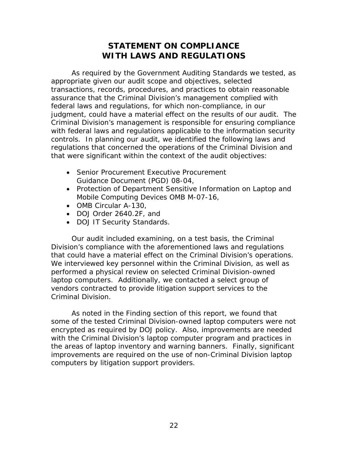# **STATEMENT ON COMPLIANCE WITH LAWS AND REGULATIONS**

<span id="page-23-0"></span> As required by the *Government Auditing Standards* we tested, as appropriate given our audit scope and objectives, selected transactions, records, procedures, and practices to obtain reasonable assurance that the Criminal Division's management complied with federal laws and regulations, for which non-compliance, in our judgment, could have a material effect on the results of our audit. The Criminal Division's management is responsible for ensuring compliance with federal laws and regulations applicable to the information security controls. In planning our audit, we identified the following laws and regulations that concerned the operations of the Criminal Division and that were significant within the context of the audit objectives:

- Senior Procurement Executive Procurement Guidance Document (PGD) 08-04,
- Protection of Department Sensitive Information on Laptop and Mobile Computing Devices OMB M-07-16,
- OMB Circular A-130,
- • DOJ Order 2640.2F, and
- DOJ IT Security Standards.

 Our audit included examining, on a test basis, the Criminal that could have a material effect on the Criminal Division's operations. We interviewed key personnel within the Criminal Division, as well as vendors contracted to provide litigation support services to the Criminal Division. Division's compliance with the aforementioned laws and regulations performed a physical review on selected Criminal Division-owned laptop computers. Additionally, we contacted a select group of

 encrypted as required by DOJ policy. Also, improvements are needed As noted in the Finding section of this report, we found that some of the tested Criminal Division-owned laptop computers were not with the Criminal Division's laptop computer program and practices in the areas of laptop inventory and warning banners. Finally, significant improvements are required on the use of non-Criminal Division laptop computers by litigation support providers.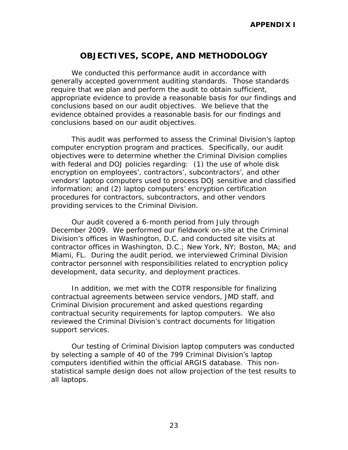# **OBJECTIVES, SCOPE, AND METHODOLOGY**

<span id="page-24-0"></span>We conducted this performance audit in accordance with generally accepted government auditing standards. Those standards require that we plan and perform the audit to obtain sufficient, appropriate evidence to provide a reasonable basis for our findings and conclusions based on our audit objectives. We believe that the evidence obtained provides a reasonable basis for our findings and conclusions based on our audit objectives.

 computer encryption program and practices. Specifically, our audit This audit was performed to assess the Criminal Division's laptop objectives were to determine whether the Criminal Division complies with federal and DOJ policies regarding: (1) the use of whole disk encryption on employees', contractors', subcontractors', and other vendors' laptop computers used to process DOJ sensitive and classified information; and (2) laptop computers' encryption certification procedures for contractors, subcontractors, and other vendors providing services to the Criminal Division.

 Division's offices in Washington, D.C. and conducted site visits at Our audit covered a 6-month period from July through December 2009. We performed our fieldwork on-site at the Criminal contractor offices in Washington, D.C.; New York, NY; Boston, MA; and Miami, FL. During the audit period, we interviewed Criminal Division contractor personnel with responsibilities related to encryption policy development, data security, and deployment practices.

 In addition, we met with the COTR responsible for finalizing contractual agreements between service vendors, JMD staff, and Criminal Division procurement and asked questions regarding contractual security requirements for laptop computers. We also reviewed the Criminal Division's contract documents for litigation support services.

 computers identified within the official ARGIS database. This non-Our testing of Criminal Division laptop computers was conducted by selecting a sample of 40 of the 799 Criminal Division's laptop statistical sample design does not allow projection of the test results to all laptops.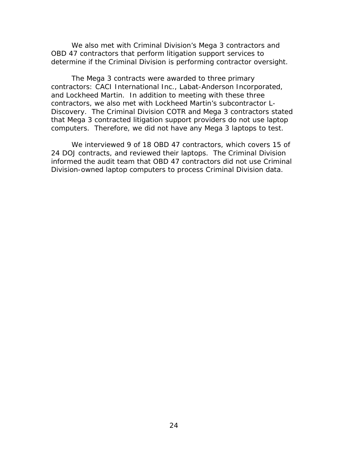OBD 47 contractors that perform litigation support services to determine if the Criminal Division is performing contractor oversight. We also met with Criminal Division's Mega 3 contractors and

 Discovery. The Criminal Division COTR and Mega 3 contractors stated computers. Therefore, we did not have any Mega 3 laptops to test. The Mega 3 contracts were awarded to three primary contractors: CACI International Inc., Labat-Anderson Incorporated, and Lockheed Martin. In addition to meeting with these three contractors, we also met with Lockheed Martin's subcontractor Lthat Mega 3 contracted litigation support providers do not use laptop

 24 DOJ contracts, and reviewed their laptops. The Criminal Division We interviewed 9 of 18 OBD 47 contractors, which covers 15 of informed the audit team that OBD 47 contractors did not use Criminal Division-owned laptop computers to process Criminal Division data.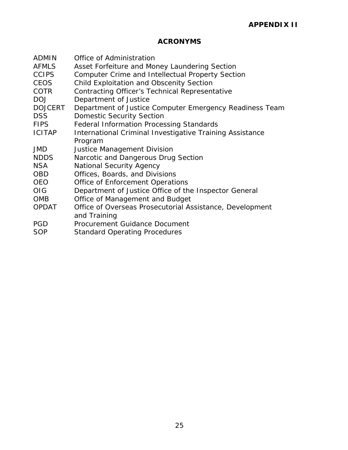# **ACRONYMS**

| <b>ADMIN</b>   | Office of Administration                                 |
|----------------|----------------------------------------------------------|
| <b>AFMLS</b>   | Asset Forfeiture and Money Laundering Section            |
| <b>CCIPS</b>   | Computer Crime and Intellectual Property Section         |
| CEOS           | Child Exploitation and Obscenity Section                 |
| <b>COTR</b>    | <b>Contracting Officer's Technical Representative</b>    |
| <b>DOJ</b>     | Department of Justice                                    |
| <b>DOJCERT</b> | Department of Justice Computer Emergency Readiness Team  |
| <b>DSS</b>     | <b>Domestic Security Section</b>                         |
| <b>FIPS</b>    | <b>Federal Information Processing Standards</b>          |
| <b>ICITAP</b>  | International Criminal Investigative Training Assistance |
|                | Program                                                  |
| <b>JMD</b>     | Justice Management Division                              |
| <b>NDDS</b>    | Narcotic and Dangerous Drug Section                      |
| <b>NSA</b>     | <b>National Security Agency</b>                          |
| <b>OBD</b>     | Offices, Boards, and Divisions                           |
| <b>OEO</b>     | <b>Office of Enforcement Operations</b>                  |
| <b>OIG</b>     | Department of Justice Office of the Inspector General    |
| <b>OMB</b>     | Office of Management and Budget                          |
| <b>OPDAT</b>   | Office of Overseas Prosecutorial Assistance, Development |
|                | and Training                                             |
| <b>PGD</b>     | <b>Procurement Guidance Document</b>                     |

SOP Standard Operating Procedures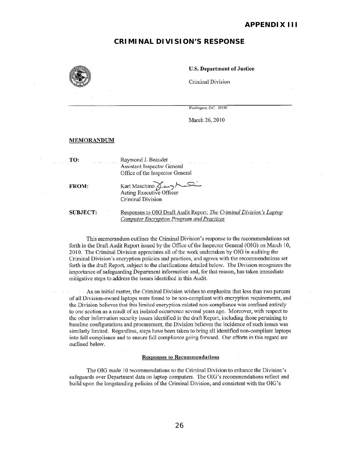#### **CRIMINAL DIVISION'S RESPONSE**



#### u.s. Department of Justice

Criminal Division

*Washington, D.C.* 20530

March 26, 2010

#### MEMORANDUM

TO: Raymond J. Beaudet Assistant Inspector General Office of the Inspector General

FROM: Karl Maschino  $\beta \rightarrow \gamma'$ Acting Executive Officer Criminal Division

**SUBJECT:** 

Responses to OiG Draft Audit Report: *1he Criminal Division 's Laptop*  **Computer Encryption Program and Practices** 

This memorandum outlines the Criminal Division's response to the recommendations set forth in the Draft Audit Report issued by the Office of the Inspector General (OlG) on March 10, 2010. The Criminal Division appreciates all of the work undertaken by OIG in auditing the Criminal Division's encryption policies and practices, and agrees witll the recommendations set forth in the draft Report, subject to the clarifications detailed below. The Division recognizes the importance of safeguarding Department information and, for that reason, has taken immediate mitigative steps to address the issues identified in this Audit.

 $\sim$  As an initial matter, the Criminal Division wishes to emphasize that less than two percent of all Division-owned laptops were found to be non-compliant with encryption requirements, and the Division believes that this limited encryption-related non-compliance was confined entirely to onc section as a result of an isolated occurrence several years ago. Moreover, with respect to the other information security issues identified in the draft Report, including those pertaining to baseline configurations and procurement, the Division believes the incidence of such issues was similarly limited. Regardless, steps have been taken to bring all identified non-compliant laptops into full compliance and to ensure full compliance going forward. Our efforts in this regard are outlined below.

#### Responses to Recommendations

The OIG made 10 recommendations to the Criminal Division to enhance the Division 's safeguards over Department data on laptop computers. The OIG's recommendations reflect and build upon the longstanding policies or the Criminal Division, and consistent with the OIG's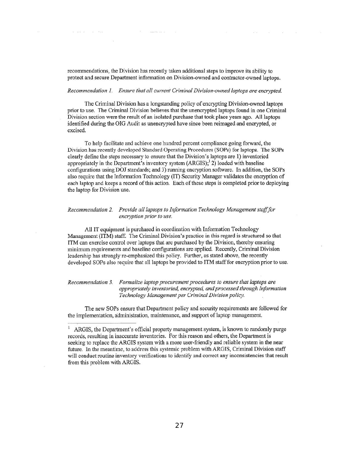recommendations, the Division has recently taken additional steps to improve its ability to protect and secure Department infonnation on Division-owned and contractor-owned laptops.

 $\sim 10$ 

 $\label{eq:1.1} \mathbb{N} \qquad \qquad \text{Converses} \qquad \mathbb{N}.$ 

 $\label{eq:2.1} \tilde{w}=\tilde{w}\tilde{w},\quad \tilde{w}=-\tilde{w},\qquad \tilde{v}\tilde{w}=0\tilde{w}.$ 

#### *Recommendation* 1. *Ensure that all current Criminal Division-owned laptops are encrypted.*

The Criminal Division has a longstanding policy of encrypting Division-owned laptops prior to use. The Criminal Division believes that the unencrypted laptops found in one Criminal Division section were the result of an isolated purchase that took place years ago. All laptops identified during the OIG Audit as unencrypted have since been reimaged and encrypted, or excised.

To help facilitate and achieve one hundred percent compliance going forward, the Division has recently developed Standard Operating Procedures (SOPs) for laptops. The SOPs clearly define the steps necessary to ensure that the Division's laptops are I) inventoried appropriately in the Department's inventory system  $(ARGIS);$ <sup>1</sup>2) loaded with baseline configurations using DOJ standards; and 3) running encryption software. In addition, the SOPs also require that the Information Technology (T1) Security Manager validates the encryption of each laptop and keeps a record of this action. Each of these steps is completed prior to deploying the laptop for Division use.

#### *Recommendation* 2. *Provide all laptops to Illformation Technology Management stafffor encryption prior to use.*

AlIlT equipment is purchased in coordination with Information Technology Management (ITM) staff. The Criminal Division's practice in this regard is structured so that ITM can exercise control over laptops that arc purchased by the Division, thereby ensuring minimum requirements and baseline configurations are applied. Recently, Criminal Division leadership has strongly re-emphasized this policy. Further, as stated above, the recently developed SOPs also require that all laptops be provided to ITM staff for encryption prior to use.

#### *Recommendation* 3. *Formalize laptop procurement procedures to ensure that laprops are appropriately inventoried, encrypted, and processed through Information Technology Management per Criminal Division policy.*

The new SOPs ensure that Department policy and security requirements are followed for the implementation, admimstration, maintenance, and support of laptop management.

<sup>&</sup>lt;sup>1</sup> ARGIS, the Department's official property management system, is known to randomly purge records, resulting in inaccurate inventories. For this reason and olhers, the Department is seeking to replace the ARGIS system with a more user-friendly and reliable system in the near future. In the meantime, to address this systemic problem with ARGIS, Criminal Division staff will conduct routine inventory verifications to identify and correct any inconsistencies that result from this problem with ARGIS.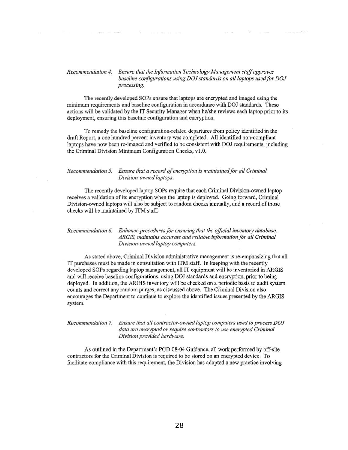#### *Recommendation* 4. *Ensure that the Information Technology Management staff approves*  baseline configurations using DOJ standards on all laptops used for DOJ *processing.*

sales and preside

-91

The contractor

and com-

The recently developed SOPs ensure that laptops are encrypted and imaged using the minimum requirements and baseline configuration in accordance with DOJ standards. These actions will be validated by the IT Security Managcr when he/she reviews each laptop prior to its deployment, ensuring this baseline configuration and encryption,

To remedy the baseline configuration-related departures from policy identified in the draft Report, a onc hundred percent inventory was completed. All identified non-compliant laptops have now been re-imaged and verified to be consistent with DOJ requirements, including the Criminal Division Minimum Configuration Checks, v1.0.

#### *Recommendation 5. Ensure that a record of encryption is maintained for all Criminal*  $Division-owned$  *laptops*.

The recently developed laptop SOPs require that each Criminal Division-owned laptop receives a validation of its encryption when the laptop is deployed. Going forward, Criminal Division-owned laptops will also be subject to random checks annually, and a record of those checks will be maintained by ITM staff.

#### *Recommendation* 6. *Enhance procedures for ensuring that the official inventory database,*  ARGIS, maintains accurate and reliable information for all Criminal  $Division$ -owned laptop computers.

As staled above. Criminal Division administrative management is re-emphasizing that all IT purchases must be made in consultation with ITM staff. In keeping with the recently developed SOPs regarding laptop management, all IT equipment will be inventoricd in ARGIS and will receive baseline configurations. using OOJ standards and encryption, prior to being deployed. In addition, the ARGIS inventory will be checked on a pcriodic basis to audit system counts and correct any random purges, as discussed above. The Criminal Division also encourages the Depmtment to continue to explore the identified issues presented by the ARGIS system.

#### Recommendation 7. Ensure that all contractor-owned laptop computers used to process DOJ *data are encrypted or require contractors to use encrypted Criminal Division provided hardware.*

As outlined in the Department's PGD 08-04 Guidance, all work performed by off-site contractors for the Criminal Division is rcquired to be stored on an encrypted device. To facilitate compliance with this requirement, the Division has adopted a new practice involving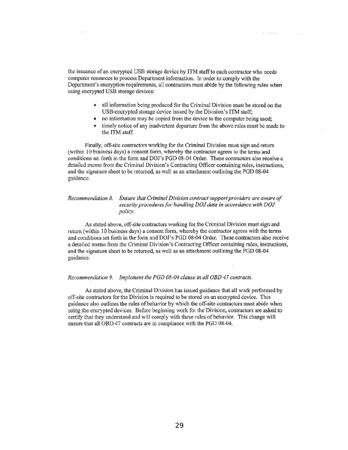the issuance of an encrypted USB storage device by ITM staff to each contractor who needs computer resources to process Department information. In order 10 comply with the Department's encryption requirements, all contractors must abide by the following rules when using encrypted USB storage devices:

2010

• all information being produced for the Criminal Division must be stored on the USB-encrypted storage device issued by the Division's ITM staff;

or it continue

- no information may be copied from the device to the computer being used;
- timely notice of any inadvertent departure from the above rules must be made to the ITM staff.

Finally, off-site contractors working for the Criminal Division must sign and return (within 10 business days) a consent form, whereby the contractor agrees to the terms and conditions set forth in the form and DOJ's PGD 08-04 Order. These contractors also receive a detailed memo from the Criminal Division's Contracting Officer containing rules, instructions, and the signature sheet to be returned, as well as an attachment outlining the POD 08-04 guidance.

#### *Recommendation* 8. *Ensure that Criminal Division contract support providers are aware of*  security procedures for handling DOJ data in accordance with DOJ *policy.*

As stated above, off-site contractors working for the Criminal Division must sign and retwn (within 10 business days) a consent form, whereby the contractor agrees with the terms and conditions set forth in the fonn and DOl's PGD 08-04 Order. These contractors also receive a detailed memo from the Criminal Division's Contracting Officcr containing rules, instructions, and the signature sheet to be returned, as well as an attachment outlining the POD 08-04 guidance.

#### *Recommendation* 9. *Implement the PGD 08-04 clause in all OBD* 47 *contracts.*

As stated above, the Criminal Division has issued guidance that all work performed by ofT-site contractors for the Division is required to be stored on an encrypted devicc. This guidance also outlines the rules of behavior by wh ich the off-site contractors must abide when using the encrypted devices. Before beginning work for the Division, contractors are asked to certify that they understand and will comply with these rules of behavior. This change will ensure that all OBD 47 contracts are in compliance with the PGD 08-04.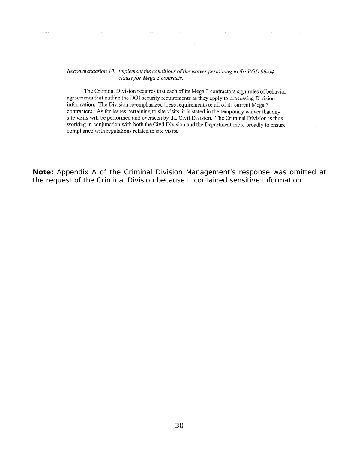#### Recommendation 10. Implement the conditions of the waiver pertaining to the PGD 08-04 clause for Mega 3 contracts.

and a deep and the same of the

 $\mathcal{A}$  and  $\mathcal{A}$  is a set of the set of the set of the set of the set of the set of the  $\mathcal{A}$ 

The Criminal Division requires that each of its Mega 3 contractors sign rules of behavior agreements that outline the DOJ security requirements as they apply to processing Division information. The Division re-emphasized these requirements to all of its current Mega 3 contractors. As for issues pertaining to site visits, it is stated in the temporary waiver that any site visits will be performed and overseen by the Civil Division. The Criminal Division is thus working in conjunction with both the Civil Division and the Department more broadly to ensure compliance with regulations related to site visits.

**Note:** Appendix A of the Criminal Division Management's response was omitted at the request of the Criminal Division because it contained sensitive information.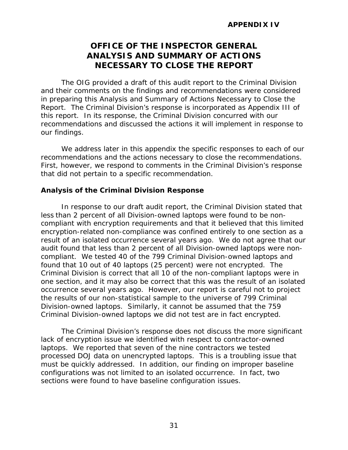# **OFFICE OF THE INSPECTOR GENERAL ANALYSIS AND SUMMARY OF ACTIONS NECESSARY TO CLOSE THE REPORT**

<span id="page-32-0"></span> recommendations and discussed the actions it will implement in response to The OIG provided a draft of this audit report to the Criminal Division and their comments on the findings and recommendations were considered in preparing this Analysis and Summary of Actions Necessary to Close the Report. The Criminal Division's response is incorporated as Appendix III of this report. In its response, the Criminal Division concurred with our our findings.

recommendations and the actions necessary to close the recommendations. We address later in this appendix the specific responses to each of our First, however, we respond to comments in the Criminal Division's response that did not pertain to a specific recommendation.

### **Analysis of the Criminal Division Response**

 less than 2 percent of all Division-owned laptops were found to be non- result of an isolated occurrence several years ago. We do not agree that our Criminal Division is correct that all 10 of the non-compliant laptops were in occurrence several years ago. However, our report is careful not to project In response to our draft audit report, the Criminal Division stated that compliant with encryption requirements and that it believed that this limited encryption-related non-compliance was confined entirely to one section as a audit found that less than 2 percent of all Division-owned laptops were noncompliant. We tested 40 of the 799 Criminal Division-owned laptops and found that 10 out of 40 laptops (25 percent) were not encrypted. The one section, and it may also be correct that this was the result of an isolated the results of our non-statistical sample to the universe of 799 Criminal Division-owned laptops. Similarly, it cannot be assumed that the 759 Criminal Division-owned laptops we did not test are in fact encrypted.

The Criminal Division's response does not discuss the more significant lack of encryption issue we identified with respect to contractor-owned laptops. We reported that seven of the nine contractors we tested processed DOJ data on unencrypted laptops. This is a troubling issue that must be quickly addressed. In addition, our finding on improper baseline configurations was not limited to an isolated occurrence. In fact, two sections were found to have baseline configuration issues.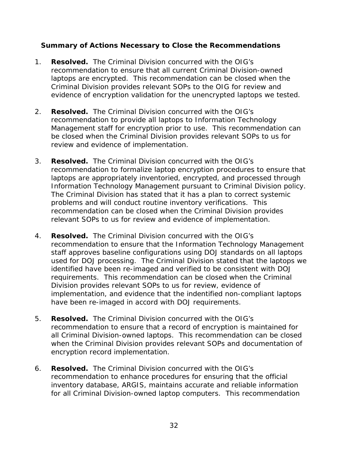# **Summary of Actions Necessary to Close the Recommendations**

- 1. **Resolved.** The Criminal Division concurred with the OIG's laptops are encrypted. This recommendation can be closed when the recommendation to ensure that all current Criminal Division-owned Criminal Division provides relevant SOPs to the OIG for review and evidence of encryption validation for the unencrypted laptops we tested.
- 2. **Resolved.** The Criminal Division concurred with the OIG's Management staff for encryption prior to use. This recommendation can recommendation to provide all laptops to Information Technology be closed when the Criminal Division provides relevant SOPs to us for review and evidence of implementation.
- 3. **Resolved.** The Criminal Division concurred with the OIG's Information Technology Management pursuant to Criminal Division policy.<br>The Criminal Division has stated that it has a plan to correct systemic problems and will conduct routine inventory verifications. This recommendation to formalize laptop encryption procedures to ensure that laptops are appropriately inventoried, encrypted, and processed through recommendation can be closed when the Criminal Division provides relevant SOPs to us for review and evidence of implementation.
- 4. **Resolved.** The Criminal Division concurred with the OIG's Division provides relevant SOPs to us for review, evidence of recommendation to ensure that the Information Technology Management staff approves baseline configurations using DOJ standards on all laptops used for DOJ processing. The Criminal Division stated that the laptops we identified have been re-imaged and verified to be consistent with DOJ requirements. This recommendation can be closed when the Criminal implementation, and evidence that the indentified non-compliant laptops have been re-imaged in accord with DOJ requirements.
- 5. **Resolved.** The Criminal Division concurred with the OIG's recommendation to ensure that a record of encryption is maintained for all Criminal Division-owned laptops. This recommendation can be closed when the Criminal Division provides relevant SOPs and documentation of encryption record implementation.
- 6. **Resolved.** The Criminal Division concurred with the OIG's recommendation to enhance procedures for ensuring that the official inventory database, ARGIS, maintains accurate and reliable information for all Criminal Division-owned laptop computers. This recommendation